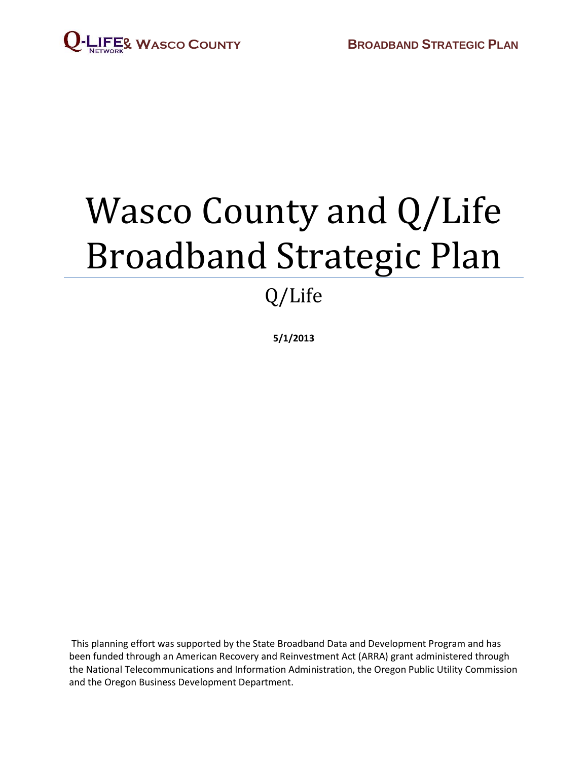

# Wasco County and Q/Life Broadband Strategic Plan

## Q/Life

**5/1/2013**

This planning effort was supported by the State Broadband Data and Development Program and has been funded through an American Recovery and Reinvestment Act (ARRA) grant administered through the National Telecommunications and Information Administration, the Oregon Public Utility Commission and the Oregon Business Development Department.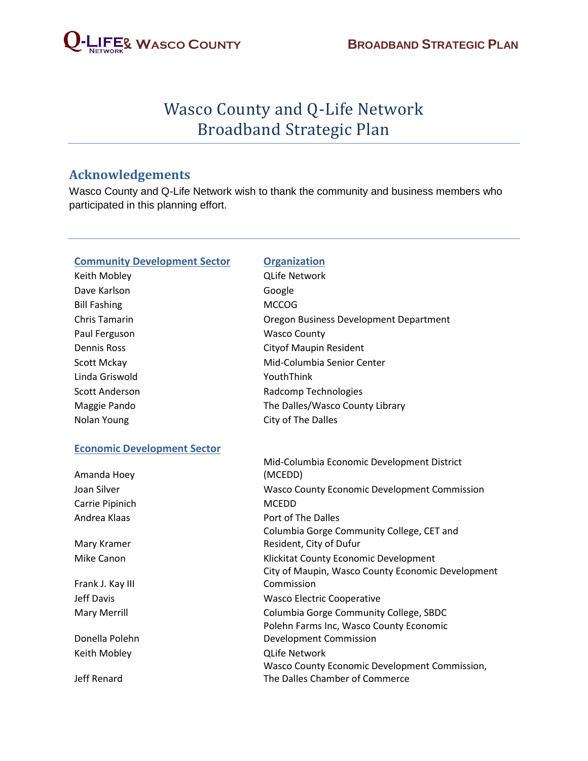

### Wasco County and Q-Life Network Broadband Strategic Plan

#### **Acknowledgements**

Wasco County and Q-Life Network wish to thank the community and business members who participated in this planning effort.

#### **Community Development Sector <b>Organization**

Keith Mobley QLife Network Dave Karlson **Google** Bill Fashing MCCOG Paul Ferguson Wasco County Linda Griswold **YouthThink** 

#### **Economic Development Sector**

| iviiu columbia economic De        |  |
|-----------------------------------|--|
| (MCEDD)                           |  |
| Wasco County Economic De          |  |
| <b>MCEDD</b>                      |  |
| Port of The Dalles                |  |
| Columbia Gorge Communit           |  |
| Resident, City of Dufur           |  |
| Klickitat County Economic D       |  |
| City of Maupin, Wasco Cour        |  |
| Commission                        |  |
| <b>Wasco Electric Cooperative</b> |  |
| Columbia Gorge Communit           |  |
| Polehn Farms Inc, Wasco Co        |  |
| Development Commission            |  |
| <b>QLife Network</b>              |  |
| Wasco County Economic De          |  |
| The Dalles Chamber of Com         |  |
|                                   |  |

Chris Tamarin Oregon Business Development Department Dennis Ross Cityof Maupin Resident Scott Mckay **Mid-Columbia Senior Center** Scott Anderson **Radcomp Technologies** Maggie Pando **The Dalles/Wasco County Library** Nolan Young **City of The Dalles** 

|                  | Mid-Columbia Economic Development District          |  |  |
|------------------|-----------------------------------------------------|--|--|
| Amanda Hoey      | (MCEDD)                                             |  |  |
| Joan Silver      | <b>Wasco County Economic Development Commission</b> |  |  |
| Carrie Pipinich  | <b>MCEDD</b>                                        |  |  |
| Andrea Klaas     | Port of The Dalles                                  |  |  |
|                  | Columbia Gorge Community College, CET and           |  |  |
| Mary Kramer      | Resident, City of Dufur                             |  |  |
| Mike Canon       | Klickitat County Economic Development               |  |  |
|                  | City of Maupin, Wasco County Economic Development   |  |  |
| Frank J. Kay III | Commission                                          |  |  |
| Jeff Davis       | Wasco Electric Cooperative                          |  |  |
| Mary Merrill     | Columbia Gorge Community College, SBDC              |  |  |
|                  | Polehn Farms Inc, Wasco County Economic             |  |  |
| Donella Polehn   | Development Commission                              |  |  |
| Keith Mobley     | <b>QLife Network</b>                                |  |  |
|                  | Wasco County Economic Development Commission,       |  |  |
| Jeff Renard      | The Dalles Chamber of Commerce                      |  |  |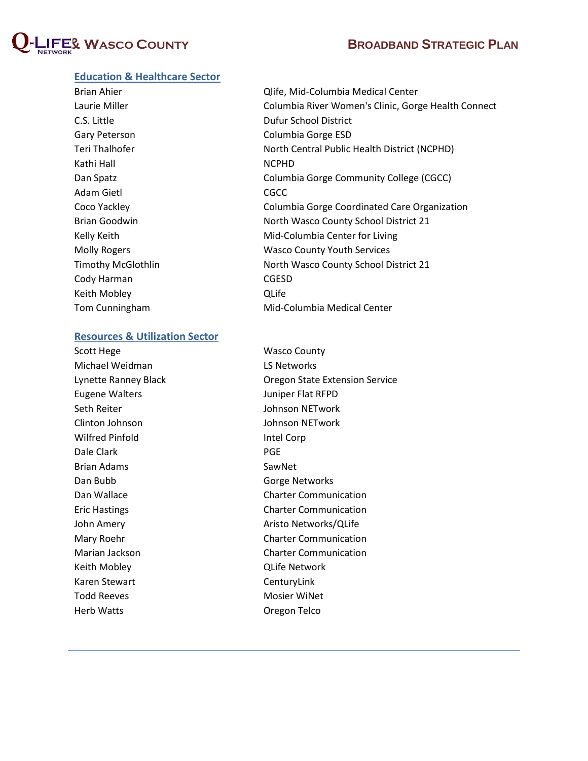

#### **Education & Healthcare Sector**

| Brian Ahier               | Qlife, Mid-Columbia Medical Center                  |  |  |
|---------------------------|-----------------------------------------------------|--|--|
| Laurie Miller             | Columbia River Women's Clinic, Gorge Health Connect |  |  |
| C.S. Little               | Dufur School District                               |  |  |
| Gary Peterson             | Columbia Gorge ESD                                  |  |  |
| Teri Thalhofer            | North Central Public Health District (NCPHD)        |  |  |
| Kathi Hall                | <b>NCPHD</b>                                        |  |  |
| Dan Spatz                 | Columbia Gorge Community College (CGCC)             |  |  |
| Adam Gietl                | <b>CGCC</b>                                         |  |  |
| Coco Yackley              | Columbia Gorge Coordinated Care Organization        |  |  |
| <b>Brian Goodwin</b>      | North Wasco County School District 21               |  |  |
| Kelly Keith               | Mid-Columbia Center for Living                      |  |  |
| <b>Molly Rogers</b>       | <b>Wasco County Youth Services</b>                  |  |  |
| <b>Timothy McGlothlin</b> | North Wasco County School District 21               |  |  |
| Cody Harman               | <b>CGESD</b>                                        |  |  |
| Keith Mobley              | QLife                                               |  |  |
| Tom Cunningham            | Mid-Columbia Medical Center                         |  |  |
|                           |                                                     |  |  |

#### **Resources & Utilization Sector**

Scott Hege Wasco County Michael Weidman LS Networks Eugene Walters **Mateurs Juniper Flat RFPD** Seth Reiter **Seth Reiter Accord Community** Johnson NETwork Clinton Johnson Johnson NETwork Wilfred Pinfold **Intel Corp** Dale Clark **PGE** Brian Adams SawNet Dan Bubb Gorge Networks Keith Mobley QLife Network Karen Stewart **CenturyLink** Todd Reeves **Mosimum** Mosier WiNet Herb Watts Oregon Telco

Lynette Ranney Black Oregon State Extension Service Dan Wallace **Charter Communication** Eric Hastings **Charter Communication** John Amery **Aristo Networks/QLife** Mary Roehr Charter Communication Marian Jackson **Charter Communication**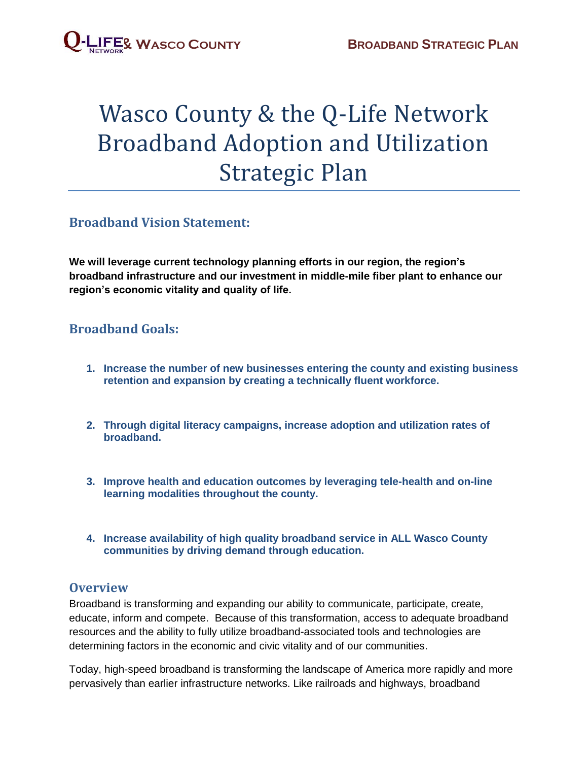## Wasco County & the Q-Life Network Broadband Adoption and Utilization Strategic Plan

#### **Broadband Vision Statement:**

**We will leverage current technology planning efforts in our region, the region's broadband infrastructure and our investment in middle-mile fiber plant to enhance our region's economic vitality and quality of life.**

### **Broadband Goals:**

- **1. Increase the number of new businesses entering the county and existing business retention and expansion by creating a technically fluent workforce.**
- **2. Through digital literacy campaigns, increase adoption and utilization rates of broadband.**
- **3. Improve health and education outcomes by leveraging tele-health and on-line learning modalities throughout the county.**
- **4. Increase availability of high quality broadband service in ALL Wasco County communities by driving demand through education.**

#### **Overview**

Broadband is transforming and expanding our ability to communicate, participate, create, educate, inform and compete. Because of this transformation, access to adequate broadband resources and the ability to fully utilize broadband-associated tools and technologies are determining factors in the economic and civic vitality and of our communities.

Today, high-speed broadband is transforming the landscape of America more rapidly and more pervasively than earlier infrastructure networks. Like railroads and highways, broadband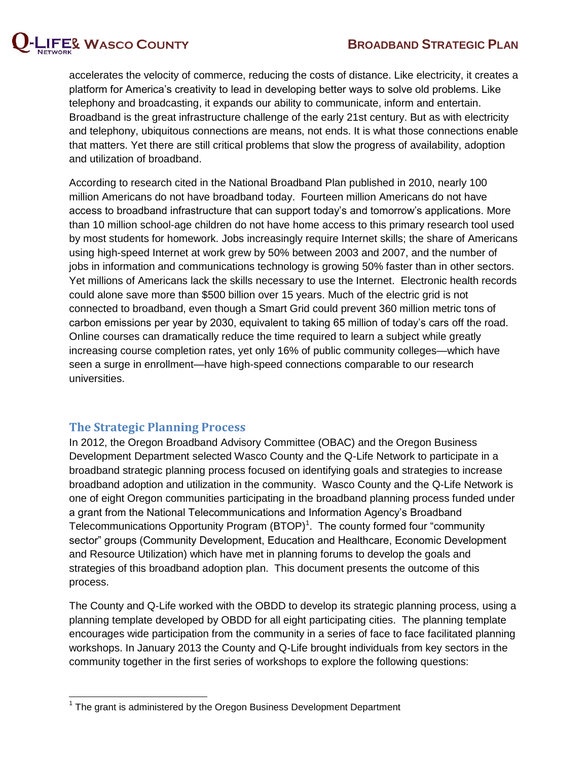

accelerates the velocity of commerce, reducing the costs of distance. Like electricity, it creates a platform for America's creativity to lead in developing better ways to solve old problems. Like telephony and broadcasting, it expands our ability to communicate, inform and entertain. Broadband is the great infrastructure challenge of the early 21st century. But as with electricity and telephony, ubiquitous connections are means, not ends. It is what those connections enable that matters. Yet there are still critical problems that slow the progress of availability, adoption and utilization of broadband.

According to research cited in the National Broadband Plan published in 2010, nearly 100 million Americans do not have broadband today. Fourteen million Americans do not have access to broadband infrastructure that can support today's and tomorrow's applications. More than 10 million school-age children do not have home access to this primary research tool used by most students for homework. Jobs increasingly require Internet skills; the share of Americans using high-speed Internet at work grew by 50% between 2003 and 2007, and the number of jobs in information and communications technology is growing 50% faster than in other sectors. Yet millions of Americans lack the skills necessary to use the Internet. Electronic health records could alone save more than \$500 billion over 15 years. Much of the electric grid is not connected to broadband, even though a Smart Grid could prevent 360 million metric tons of carbon emissions per year by 2030, equivalent to taking 65 million of today's cars off the road. Online courses can dramatically reduce the time required to learn a subject while greatly increasing course completion rates, yet only 16% of public community colleges—which have seen a surge in enrollment—have high-speed connections comparable to our research universities.

#### **The Strategic Planning Process**

In 2012, the Oregon Broadband Advisory Committee (OBAC) and the Oregon Business Development Department selected Wasco County and the Q-Life Network to participate in a broadband strategic planning process focused on identifying goals and strategies to increase broadband adoption and utilization in the community. Wasco County and the Q-Life Network is one of eight Oregon communities participating in the broadband planning process funded under a grant from the National Telecommunications and Information Agency's Broadband Telecommunications Opportunity Program  $(BTOP)^1$ . The county formed four "community sector" groups (Community Development, Education and Healthcare, Economic Development and Resource Utilization) which have met in planning forums to develop the goals and strategies of this broadband adoption plan. This document presents the outcome of this process.

The County and Q-Life worked with the OBDD to develop its strategic planning process, using a planning template developed by OBDD for all eight participating cities. The planning template encourages wide participation from the community in a series of face to face facilitated planning workshops. In January 2013 the County and Q-Life brought individuals from key sectors in the community together in the first series of workshops to explore the following questions:

 $\overline{\phantom{a}}$  $1$  The grant is administered by the Oregon Business Development Department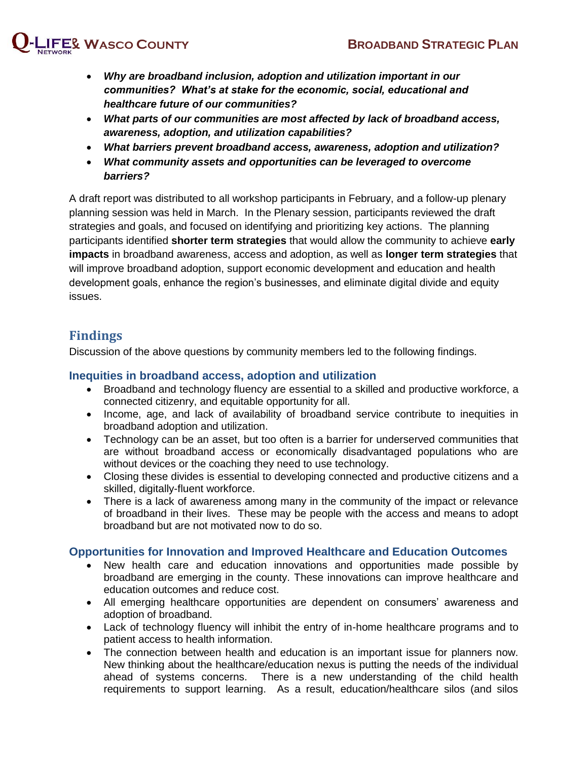

- *Why are broadband inclusion, adoption and utilization important in our communities? What's at stake for the economic, social, educational and healthcare future of our communities?*
- *What parts of our communities are most affected by lack of broadband access, awareness, adoption, and utilization capabilities?*
- *What barriers prevent broadband access, awareness, adoption and utilization?*
- *What community assets and opportunities can be leveraged to overcome barriers?*

A draft report was distributed to all workshop participants in February, and a follow-up plenary planning session was held in March. In the Plenary session, participants reviewed the draft strategies and goals, and focused on identifying and prioritizing key actions. The planning participants identified **shorter term strategies** that would allow the community to achieve **early impacts** in broadband awareness, access and adoption, as well as **longer term strategies** that will improve broadband adoption, support economic development and education and health development goals, enhance the region's businesses, and eliminate digital divide and equity issues.

#### **Findings**

Discussion of the above questions by community members led to the following findings.

#### **Inequities in broadband access, adoption and utilization**

- Broadband and technology fluency are essential to a skilled and productive workforce, a connected citizenry, and equitable opportunity for all.
- Income, age, and lack of availability of broadband service contribute to inequities in broadband adoption and utilization.
- Technology can be an asset, but too often is a barrier for underserved communities that are without broadband access or economically disadvantaged populations who are without devices or the coaching they need to use technology.
- Closing these divides is essential to developing connected and productive citizens and a skilled, digitally-fluent workforce.
- There is a lack of awareness among many in the community of the impact or relevance of broadband in their lives. These may be people with the access and means to adopt broadband but are not motivated now to do so.

#### **Opportunities for Innovation and Improved Healthcare and Education Outcomes**

- New health care and education innovations and opportunities made possible by broadband are emerging in the county. These innovations can improve healthcare and education outcomes and reduce cost.
- All emerging healthcare opportunities are dependent on consumers' awareness and adoption of broadband.
- Lack of technology fluency will inhibit the entry of in-home healthcare programs and to patient access to health information.
- The connection between health and education is an important issue for planners now. New thinking about the healthcare/education nexus is putting the needs of the individual ahead of systems concerns. There is a new understanding of the child health requirements to support learning. As a result, education/healthcare silos (and silos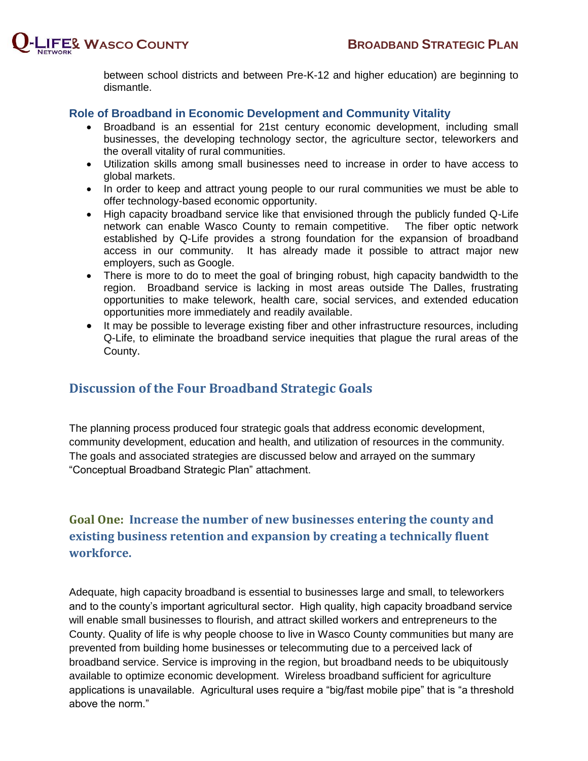

between school districts and between Pre-K-12 and higher education) are beginning to dismantle.

#### **Role of Broadband in Economic Development and Community Vitality**

- Broadband is an essential for 21st century economic development, including small businesses, the developing technology sector, the agriculture sector, teleworkers and the overall vitality of rural communities.
- Utilization skills among small businesses need to increase in order to have access to global markets.
- In order to keep and attract young people to our rural communities we must be able to offer technology-based economic opportunity.
- High capacity broadband service like that envisioned through the publicly funded Q-Life network can enable Wasco County to remain competitive. The fiber optic network established by Q-Life provides a strong foundation for the expansion of broadband access in our community. It has already made it possible to attract major new employers, such as Google.
- There is more to do to meet the goal of bringing robust, high capacity bandwidth to the region. Broadband service is lacking in most areas outside The Dalles, frustrating opportunities to make telework, health care, social services, and extended education opportunities more immediately and readily available.
- It may be possible to leverage existing fiber and other infrastructure resources, including Q-Life, to eliminate the broadband service inequities that plague the rural areas of the County.

#### **Discussion of the Four Broadband Strategic Goals**

The planning process produced four strategic goals that address economic development, community development, education and health, and utilization of resources in the community. The goals and associated strategies are discussed below and arrayed on the summary "Conceptual Broadband Strategic Plan" attachment.

### **Goal One: Increase the number of new businesses entering the county and existing business retention and expansion by creating a technically fluent workforce.**

Adequate, high capacity broadband is essential to businesses large and small, to teleworkers and to the county's important agricultural sector. High quality, high capacity broadband service will enable small businesses to flourish, and attract skilled workers and entrepreneurs to the County. Quality of life is why people choose to live in Wasco County communities but many are prevented from building home businesses or telecommuting due to a perceived lack of broadband service. Service is improving in the region, but broadband needs to be ubiquitously available to optimize economic development. Wireless broadband sufficient for agriculture applications is unavailable. Agricultural uses require a "big/fast mobile pipe" that is "a threshold above the norm."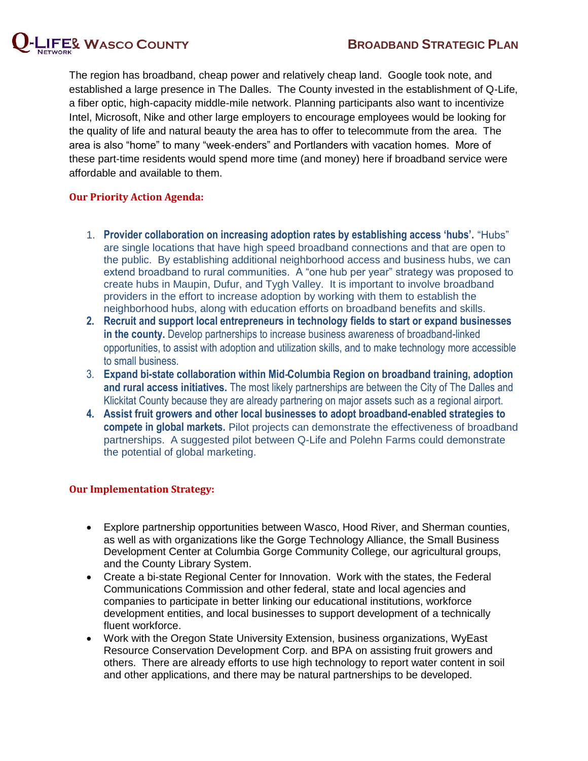

The region has broadband, cheap power and relatively cheap land. Google took note, and established a large presence in The Dalles. The County invested in the establishment of Q-Life, a fiber optic, high-capacity middle-mile network. Planning participants also want to incentivize Intel, Microsoft, Nike and other large employers to encourage employees would be looking for the quality of life and natural beauty the area has to offer to telecommute from the area. The area is also "home" to many "week-enders" and Portlanders with vacation homes. More of these part-time residents would spend more time (and money) here if broadband service were

#### **Our Priority Action Agenda:**

affordable and available to them.

- 1. **Provider collaboration on increasing adoption rates by establishing access 'hubs'.** "Hubs" are single locations that have high speed broadband connections and that are open to the public. By establishing additional neighborhood access and business hubs, we can extend broadband to rural communities. A "one hub per year" strategy was proposed to create hubs in Maupin, Dufur, and Tygh Valley. It is important to involve broadband providers in the effort to increase adoption by working with them to establish the neighborhood hubs, along with education efforts on broadband benefits and skills.
- **2. Recruit and support local entrepreneurs in technology fields to start or expand businesses in the county.** Develop partnerships to increase business awareness of broadband-linked opportunities, to assist with adoption and utilization skills, and to make technology more accessible to small business.
- 3. **Expand bi-state collaboration within Mid**‐**Columbia Region on broadband training, adoption and rural access initiatives.** The most likely partnerships are between the City of The Dalles and Klickitat County because they are already partnering on major assets such as a regional airport.
- **4. Assist fruit growers and other local businesses to adopt broadband-enabled strategies to compete in global markets.** Pilot projects can demonstrate the effectiveness of broadband partnerships. A suggested pilot between Q-Life and Polehn Farms could demonstrate the potential of global marketing.

#### **Our Implementation Strategy:**

- Explore partnership opportunities between Wasco, Hood River, and Sherman counties, as well as with organizations like the Gorge Technology Alliance, the Small Business Development Center at Columbia Gorge Community College, our agricultural groups, and the County Library System.
- Create a bi-state Regional Center for Innovation. Work with the states, the Federal Communications Commission and other federal, state and local agencies and companies to participate in better linking our educational institutions, workforce development entities, and local businesses to support development of a technically fluent workforce.
- Work with the Oregon State University Extension, business organizations, WyEast Resource Conservation Development Corp. and BPA on assisting fruit growers and others. There are already efforts to use high technology to report water content in soil and other applications, and there may be natural partnerships to be developed.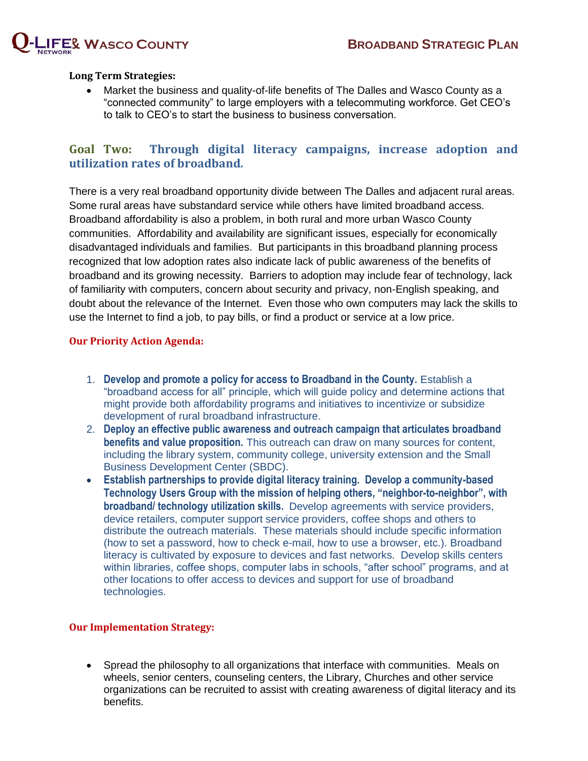

#### **Long Term Strategies:**

 Market the business and quality-of-life benefits of The Dalles and Wasco County as a "connected community" to large employers with a telecommuting workforce. Get CEO's to talk to CEO's to start the business to business conversation.

#### **Goal Two: Through digital literacy campaigns, increase adoption and utilization rates of broadband***.*

There is a very real broadband opportunity divide between The Dalles and adjacent rural areas. Some rural areas have substandard service while others have limited broadband access. Broadband affordability is also a problem, in both rural and more urban Wasco County communities. Affordability and availability are significant issues, especially for economically disadvantaged individuals and families. But participants in this broadband planning process recognized that low adoption rates also indicate lack of public awareness of the benefits of broadband and its growing necessity. Barriers to adoption may include fear of technology, lack of familiarity with computers, concern about security and privacy, non-English speaking, and doubt about the relevance of the Internet. Even those who own computers may lack the skills to use the Internet to find a job, to pay bills, or find a product or service at a low price.

#### **Our Priority Action Agenda:**

- 1. **Develop and promote a policy for access to Broadband in the County.** Establish a "broadband access for all" principle, which will guide policy and determine actions that might provide both affordability programs and initiatives to incentivize or subsidize development of rural broadband infrastructure.
- 2. **Deploy an effective public awareness and outreach campaign that articulates broadband benefits and value proposition.** This outreach can draw on many sources for content, including the library system, community college, university extension and the Small Business Development Center (SBDC).
- **Establish partnerships to provide digital literacy training. Develop a community-based Technology Users Group with the mission of helping others, "neighbor-to-neighbor", with broadband/ technology utilization skills.** Develop agreements with service providers, device retailers, computer support service providers, coffee shops and others to distribute the outreach materials. These materials should include specific information (how to set a password, how to check e-mail, how to use a browser, etc.). Broadband literacy is cultivated by exposure to devices and fast networks. Develop skills centers within libraries, coffee shops, computer labs in schools, "after school" programs, and at other locations to offer access to devices and support for use of broadband technologies.

#### **Our Implementation Strategy:**

 Spread the philosophy to all organizations that interface with communities. Meals on wheels, senior centers, counseling centers, the Library, Churches and other service organizations can be recruited to assist with creating awareness of digital literacy and its benefits.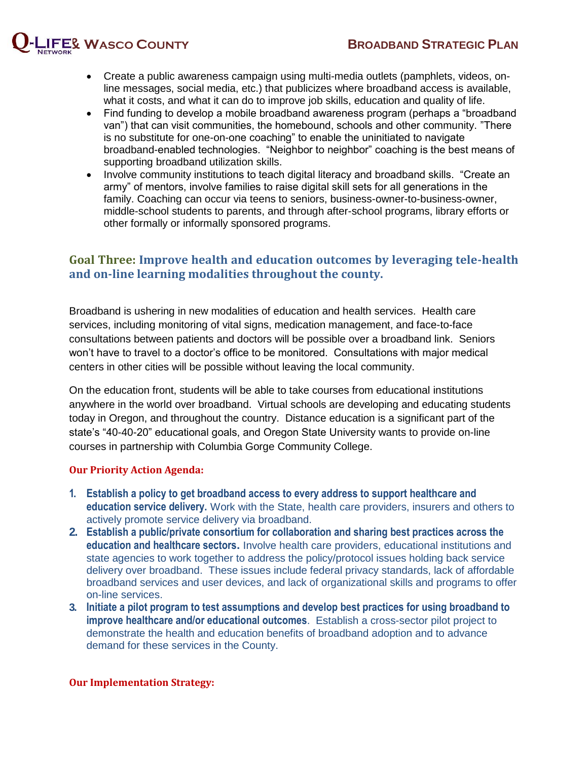

- Create a public awareness campaign using multi-media outlets (pamphlets, videos, online messages, social media, etc.) that publicizes where broadband access is available, what it costs, and what it can do to improve job skills, education and quality of life.
- Find funding to develop a mobile broadband awareness program (perhaps a "broadband" van") that can visit communities, the homebound, schools and other community. "There is no substitute for one-on-one coaching" to enable the uninitiated to navigate broadband-enabled technologies. "Neighbor to neighbor" coaching is the best means of supporting broadband utilization skills.
- Involve community institutions to teach digital literacy and broadband skills. "Create an army" of mentors, involve families to raise digital skill sets for all generations in the family. Coaching can occur via teens to seniors, business-owner-to-business-owner, middle-school students to parents, and through after-school programs, library efforts or other formally or informally sponsored programs.

#### **Goal Three: Improve health and education outcomes by leveraging tele-health and on-line learning modalities throughout the county.**

Broadband is ushering in new modalities of education and health services. Health care services, including monitoring of vital signs, medication management, and face-to-face consultations between patients and doctors will be possible over a broadband link. Seniors won't have to travel to a doctor's office to be monitored. Consultations with major medical centers in other cities will be possible without leaving the local community.

On the education front, students will be able to take courses from educational institutions anywhere in the world over broadband. Virtual schools are developing and educating students today in Oregon, and throughout the country. Distance education is a significant part of the state's "40-40-20" educational goals, and Oregon State University wants to provide on-line courses in partnership with Columbia Gorge Community College.

#### **Our Priority Action Agenda:**

- **1. Establish a policy to get broadband access to every address to support healthcare and education service delivery.** Work with the State, health care providers, insurers and others to actively promote service delivery via broadband.
- **2. Establish a public/private consortium for collaboration and sharing best practices across the education and healthcare sectors.** Involve health care providers, educational institutions and state agencies to work together to address the policy/protocol issues holding back service delivery over broadband. These issues include federal privacy standards, lack of affordable broadband services and user devices, and lack of organizational skills and programs to offer on-line services.
- **3. Initiate a pilot program to test assumptions and develop best practices for using broadband to improve healthcare and/or educational outcomes**. Establish a cross-sector pilot project to demonstrate the health and education benefits of broadband adoption and to advance demand for these services in the County.

#### **Our Implementation Strategy:**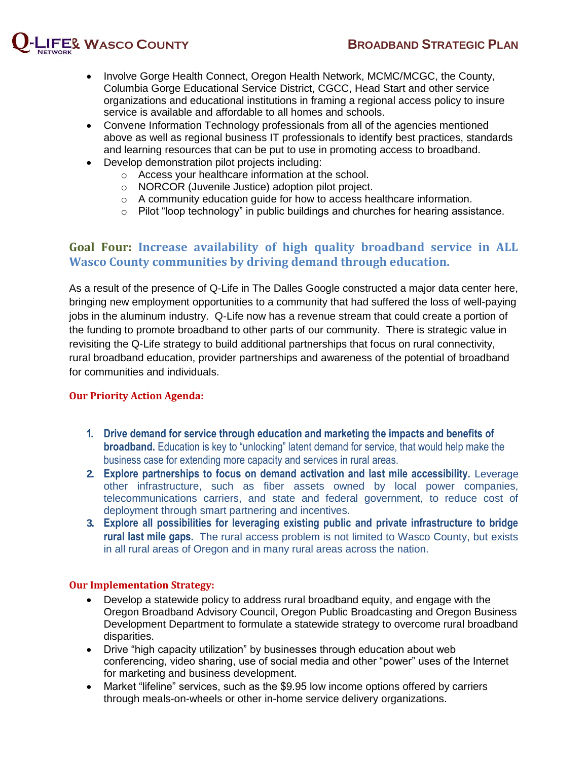

- Involve Gorge Health Connect, Oregon Health Network, MCMC/MCGC, the County, Columbia Gorge Educational Service District, CGCC, Head Start and other service organizations and educational institutions in framing a regional access policy to insure service is available and affordable to all homes and schools.
- Convene Information Technology professionals from all of the agencies mentioned above as well as regional business IT professionals to identify best practices, standards and learning resources that can be put to use in promoting access to broadband.
- Develop demonstration pilot projects including:
	- o Access your healthcare information at the school.
	- o NORCOR (Juvenile Justice) adoption pilot project.
	- o A community education guide for how to access healthcare information.
	- o Pilot "loop technology" in public buildings and churches for hearing assistance.

#### **Goal Four: Increase availability of high quality broadband service in ALL Wasco County communities by driving demand through education.**

As a result of the presence of Q-Life in The Dalles Google constructed a major data center here, bringing new employment opportunities to a community that had suffered the loss of well-paying jobs in the aluminum industry. Q-Life now has a revenue stream that could create a portion of the funding to promote broadband to other parts of our community. There is strategic value in revisiting the Q-Life strategy to build additional partnerships that focus on rural connectivity, rural broadband education, provider partnerships and awareness of the potential of broadband for communities and individuals.

#### **Our Priority Action Agenda:**

- **1. Drive demand for service through education and marketing the impacts and benefits of broadband.** Education is key to "unlocking" latent demand for service, that would help make the business case for extending more capacity and services in rural areas.
- **2. Explore partnerships to focus on demand activation and last mile accessibility.** Leverage other infrastructure, such as fiber assets owned by local power companies, telecommunications carriers, and state and federal government, to reduce cost of deployment through smart partnering and incentives.
- **3. Explore all possibilities for leveraging existing public and private infrastructure to bridge rural last mile gaps.** The rural access problem is not limited to Wasco County, but exists in all rural areas of Oregon and in many rural areas across the nation.

#### **Our Implementation Strategy:**

- Develop a statewide policy to address rural broadband equity, and engage with the Oregon Broadband Advisory Council, Oregon Public Broadcasting and Oregon Business Development Department to formulate a statewide strategy to overcome rural broadband disparities.
- Drive "high capacity utilization" by businesses through education about web conferencing, video sharing, use of social media and other "power" uses of the Internet for marketing and business development.
- Market "lifeline" services, such as the \$9.95 low income options offered by carriers through meals-on-wheels or other in-home service delivery organizations.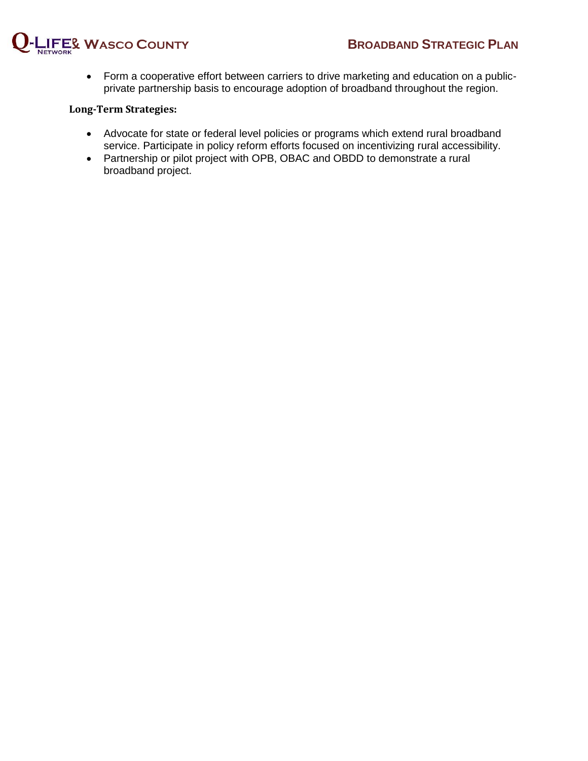

 Form a cooperative effort between carriers to drive marketing and education on a publicprivate partnership basis to encourage adoption of broadband throughout the region.

#### **Long-Term Strategies:**

- Advocate for state or federal level policies or programs which extend rural broadband service. Participate in policy reform efforts focused on incentivizing rural accessibility.
- Partnership or pilot project with OPB, OBAC and OBDD to demonstrate a rural broadband project.